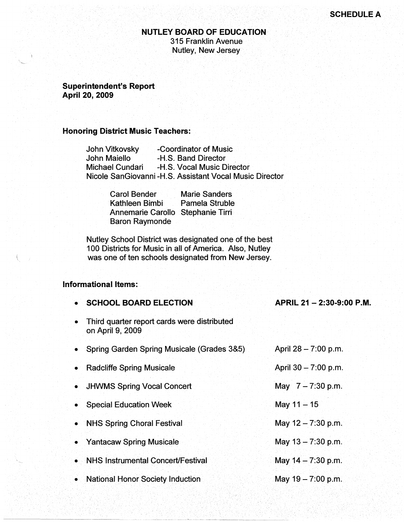### **NUTLEY BOARD OF EDUCATION**  315 Franklin Avenue Nutley, New Jersey

**Superintendent's Report April 20, 2009** 

## **Honoring District Music Teachers:**

| John Vitkovsky  | -Coordinator of Music                                   |
|-----------------|---------------------------------------------------------|
| John Maiello    | -H.S. Band Director                                     |
| Michael Cundari | -H.S. Vocal Music Director                              |
|                 | Nicole SanGiovanni -H.S. Assistant Vocal Music Director |

| <b>Carol Bender</b>               | <b>Marie Sanders</b>  |  |
|-----------------------------------|-----------------------|--|
| Kathleen Bimbi                    | <b>Pamela Struble</b> |  |
| Annemarie Carollo Stephanie Tirri |                       |  |
| <b>Baron Raymonde</b>             |                       |  |

Nutley School District was designated one of the best 100 Districts for Music in all of America. Also, Nutley was one of ten schools designated from New Jersey.

# **Informational Items:**

| • SCHOOL BOARD ELECTION                                         | APRIL 21 - 2:30-9:00 P.M. |
|-----------------------------------------------------------------|---------------------------|
| Third quarter report cards were distributed<br>on April 9, 2009 |                           |
| • Spring Garden Spring Musicale (Grades 3&5)                    | April 28 - 7:00 p.m.      |
| • Radcliffe Spring Musicale                                     | April 30 - 7:00 p.m.      |
| • JHWMS Spring Vocal Concert                                    | May $7 - 7:30$ p.m.       |
| Special Education Week                                          | May $11 - 15$             |
| • NHS Spring Choral Festival                                    | May $12 - 7:30$ p.m.      |
| • Yantacaw Spring Musicale                                      | May $13 - 7:30$ p.m.      |
| • NHS Instrumental Concert/Festival                             | May $14 - 7:30$ p.m.      |
| • National Honor Society Induction                              | May $19 - 7.00$ p.m.      |